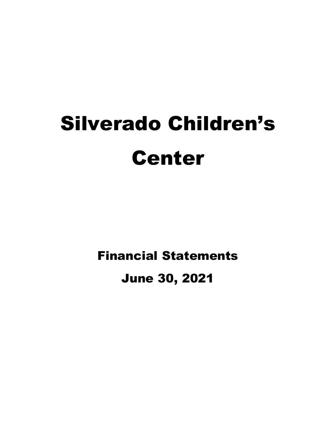# Silverado Children's Center

Financial Statements

June 30, 2021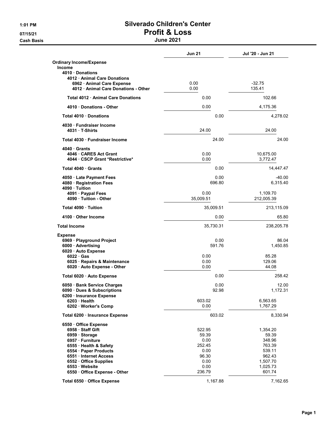**Cash Basis** 

# 1:01 PM Silverado Children's Center 07/15/21 **Profit & Loss**<br>Cash Basis **Results** Uune 2021

|                                                                    | <b>Jun 21</b>     | Jul '20 - Jun 21       |
|--------------------------------------------------------------------|-------------------|------------------------|
| <b>Ordinary Income/Expense</b><br><b>Income</b>                    |                   |                        |
| 4010 Donations                                                     |                   |                        |
| 4012 Animal Care Donations<br>6962 · Animal Care Expense           | 0.00              | $-32.75$               |
| 4012 · Animal Care Donations - Other                               | 0.00              | 135.41                 |
| Total 4012 Animal Care Donations                                   | 0.00              | 102.66                 |
| 4010 Donations - Other                                             | 0.00              | 4.175.36               |
| Total 4010 Donations                                               | 0.00              | 4,278.02               |
| 4030 · Fundraiser Income<br>4031 T-Shirts                          | 24.00             | 24.00                  |
| Total 4030 Fundraiser Income                                       | 24.00             | 24.00                  |
|                                                                    |                   |                        |
| 4040 Grants<br>4046 CARES Act Grant                                | 0.00              | 10,675.00              |
| 4044 CSCP Grant *Restrictive*                                      | 0.00              | 3,772.47               |
| Total 4040 Grants                                                  | 0.00              | 14,447.47              |
| 4050 Late Payment Fees<br>4080 · Registration Fees<br>4090 Tuition | 0.00<br>696.80    | $-40.00$<br>6,315.40   |
| 4091 · Paypal Fees<br>4090 Tuition - Other                         | 0.00<br>35,009.51 | 1,109.70<br>212,005.39 |
| Total 4090 Tuition                                                 | 35,009.51         | 213,115.09             |
| 4100 Other Income                                                  | 0.00              | 65.80                  |
| <b>Total Income</b>                                                | 35,730.31         | 238,205.78             |
| Expense                                                            |                   |                        |
| 6969 · Playground Project<br>6000 Advertising                      | 0.00<br>591.76    | 86.04<br>1,450.85      |
| 6020 Auto Expense                                                  |                   |                        |
| $6022 \cdot Gas$                                                   | 0.00              | 85.28                  |
| 6025 · Repairs & Maintenance                                       | 0.00              | 129.06                 |
| 6020 · Auto Expense - Other                                        | 0.00              | 44.08                  |
| Total 6020 · Auto Expense                                          | 0.00              | 258.42                 |
| 6050 · Bank Service Charges                                        | 0.00              | 12.00                  |
| 6090 Dues & Subscriptions                                          | 92.98             | 1,172.31               |
| 6200 · Insurance Expense<br>6203 Health                            | 603.02            | 6,563.65               |
| 6202 Worker's Comp                                                 | 0.00              | 1,767.29               |
| Total 6200 · Insurance Expense                                     | 603.02            | 8,330.94               |
| 6550 Office Expense                                                |                   |                        |
| 6958 · Staff Gift                                                  | 522.95            | 1,354.20               |
| 6959 Storage                                                       | 59.39             | 59.39                  |
| 6957 · Furniture                                                   | 0.00              | 348.96                 |
| 6555 · Health & Safety                                             | 252.45            | 763.39                 |
| 6554 · Paper Products                                              | 0.00              | 539.11                 |
| 6551 Internet Access                                               | 96.30             | 962.43                 |
| 6552 Office Supplies                                               | 0.00              | 1,507.70               |
| 6553 Website<br>6550 Office Expense - Other                        | 0.00<br>236.79    | 1,025.73<br>601.74     |
|                                                                    |                   |                        |
| Total 6550 · Office Expense                                        | 1,167.88          | 7,162.65               |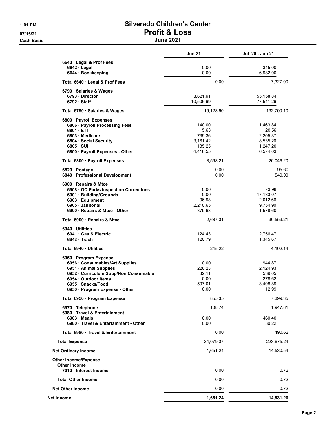**Cash Basis** 

# 1:01 PM Silverado Children's Center 07/15/21 **Profit & Loss**<br>Cash Basis **Results** Uune 2021

|                                                             | <b>Jun 21</b>    | Jul '20 - Jun 21  |
|-------------------------------------------------------------|------------------|-------------------|
| 6640 Legal & Prof Fees                                      |                  |                   |
| $6642 \cdot$ Legal                                          | 0.00             | 345.00            |
| 6644 · Bookkeeping                                          | 0.00             | 6,982.00          |
| Total 6640 Legal & Prof Fees                                | 0.00             | 7,327.00          |
| 6790 · Salaries & Wages                                     |                  |                   |
| 6793 Director                                               | 8,621.91         | 55,158.84         |
| $6792 \cdot$ Staff                                          | 10,506.69        | 77,541.26         |
| Total 6790 · Salaries & Wages                               | 19,128.60        | 132,700.10        |
| 6800 Payroll Expenses                                       |                  |                   |
| 6806 · Payroll Processing Fees<br>$6801 \cdot ETT$          | 140.00<br>5.63   | 1,463.84<br>20.56 |
| 6803 Medicare                                               | 739.36           | 2,205.37          |
| 6804 · Social Security                                      | 3,161.42         | 8,535.20          |
| $6805 \cdot SUI$                                            | 135.25           | 1,247.20          |
| 6800 · Payroll Expenses - Other                             | 4,416.55         | 6,574.03          |
| Total 6800 · Payroll Expenses                               | 8,598.21         | 20,046.20         |
| 6820 Postage                                                | 0.00             | 95.60             |
| 6840 · Professional Development                             | 0.00             | 540.00            |
| 6900 · Repairs & Mtce                                       |                  |                   |
| 6908 OC Parks Inspection Corrections                        | 0.00             | 73.98             |
| 6901 · Building/Grounds                                     | 0.00             | 17,133.07         |
| 6903 Equipment                                              | 96.98            | 2,012.66          |
| 6905 Janitorial                                             | 2,210.65         | 9,754.90          |
| 6900 Repairs & Mtce - Other                                 | 379.68           | 1,578.60          |
| Total 6900 · Repairs & Mtce                                 | 2,687.31         | 30,553.21         |
| 6940 Utilities                                              |                  |                   |
| 6941 Gas & Electric<br>6943 Trash                           | 124.43<br>120.79 | 2,756.47          |
|                                                             |                  | 1,345.67          |
| Total 6940 · Utilities                                      | 245.22           | 4,102.14          |
| 6950 Program Expense                                        |                  |                   |
| 6956 Consumables/Art Supplies                               | 0.00             | 944.87            |
| 6951 · Animal Supplies                                      | 226.23<br>32.11  | 2,124.93          |
| 6952 · Curriculum Supp/Non Consumable<br>6954 Outdoor Items | 0.00             | 539.05<br>278.62  |
| 6955 Snacks/Food                                            | 597.01           | 3,498.89          |
| 6950 · Program Expense - Other                              | 0.00             | 12.99             |
| Total 6950 · Program Expense                                | 855.35           | 7,399.35          |
| 6970 · Telephone                                            | 108.74           | 1,947.81          |
| 6980 · Travel & Entertainment                               |                  |                   |
| 6983 Meals                                                  | 0.00             | 460.40            |
| 6980 Travel & Entertainment - Other                         | 0.00             | 30.22             |
| Total 6980 Travel & Entertainment                           | 0.00             | 490.62            |
| <b>Total Expense</b>                                        | 34,079.07        | 223,675.24        |
| <b>Net Ordinary Income</b>                                  | 1,651.24         | 14,530.54         |
| <b>Other Income/Expense</b>                                 |                  |                   |
| <b>Other Income</b><br>7010 · Interest Income               | 0.00             | 0.72              |
|                                                             |                  |                   |
| <b>Total Other Income</b>                                   | 0.00             | 0.72              |
| <b>Net Other Income</b>                                     | 0.00             | 0.72              |
| Net Income                                                  | 1,651.24         | 14,531.26         |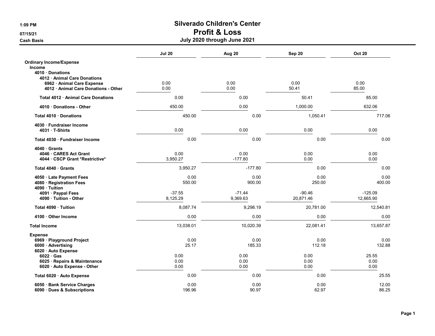|                                                                                                        | <b>Jul 20</b>        | Aug 20               | Sep 20                | <b>Oct 20</b>          |
|--------------------------------------------------------------------------------------------------------|----------------------|----------------------|-----------------------|------------------------|
| <b>Ordinary Income/Expense</b><br><b>Income</b><br>4010 Donations                                      |                      |                      |                       |                        |
| 4012 Animal Care Donations<br>6962 Animal Care Expense<br>4012 · Animal Care Donations - Other         | 0.00<br>0.00         | 0.00<br>0.00         | 0.00<br>50.41         | 0.00<br>85.00          |
| Total 4012 · Animal Care Donations                                                                     | 0.00                 | 0.00                 | 50.41                 | 85.00                  |
| 4010 Donations - Other                                                                                 | 450.00               | 0.00                 | 1,000.00              | 632.06                 |
| Total 4010 · Donations                                                                                 | 450.00               | 0.00                 | 1,050.41              | 717.06                 |
| 4030 · Fundraiser Income<br>4031 T-Shirts                                                              | 0.00                 | 0.00                 | 0.00                  | 0.00                   |
| Total 4030 · Fundraiser Income                                                                         | 0.00                 | 0.00                 | 0.00                  | 0.00                   |
| 4040 Grants<br>4046 CARES Act Grant<br>4044 · CSCP Grant *Restrictive*                                 | 0.00<br>3,950.27     | 0.00<br>$-177.80$    | 0.00<br>0.00          | 0.00<br>0.00           |
| Total 4040 Grants                                                                                      | 3,950.27             | $-177.80$            | 0.00                  | 0.00                   |
| 4050 · Late Payment Fees<br>4080 · Registration Fees<br>4090 · Tuition                                 | 0.00<br>550.00       | 0.00<br>900.00       | 0.00<br>250.00        | 0.00<br>400.00         |
| 4091 · Paypal Fees<br>4090 Tuition - Other                                                             | $-37.55$<br>8,125.29 | $-71.44$<br>9,369.63 | $-90.46$<br>20,871.46 | $-125.09$<br>12,665.90 |
| Total 4090 · Tuition                                                                                   | 8,087.74             | 9,298.19             | 20,781.00             | 12,540.81              |
| 4100 Other Income                                                                                      | 0.00                 | 0.00                 | 0.00                  | 0.00                   |
| <b>Total Income</b>                                                                                    | 13,038.01            | 10,020.39            | 22,081.41             | 13,657.87              |
| <b>Expense</b><br>6969 · Playground Project<br>6000 · Advertising                                      | 0.00<br>25.17        | 0.00<br>185.33       | 0.00<br>112.18        | 0.00<br>132.88         |
| 6020 · Auto Expense<br>$6022 \cdot Gas$<br>6025 · Repairs & Maintenance<br>6020 · Auto Expense - Other | 0.00<br>0.00<br>0.00 | 0.00<br>0.00<br>0.00 | 0.00<br>0.00<br>0.00  | 25.55<br>0.00<br>0.00  |
| Total 6020 · Auto Expense                                                                              | 0.00                 | 0.00                 | 0.00                  | 25.55                  |
| 6050 · Bank Service Charges<br>6090 · Dues & Subscriptions                                             | 0.00<br>196.96       | 0.00<br>90.97        | 0.00<br>62.97         | 12.00<br>86.25         |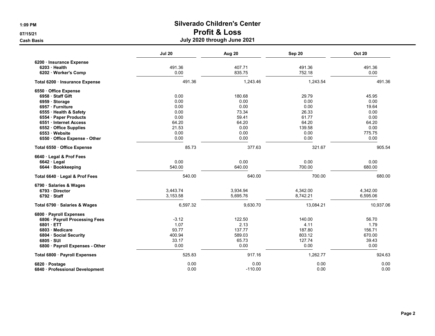|                                 | <b>Jul 20</b> | Aug 20    | Sep 20    | <b>Oct 20</b> |
|---------------------------------|---------------|-----------|-----------|---------------|
| 6200 · Insurance Expense        |               |           |           |               |
| 6203 · Health                   | 491.36        | 407.71    | 491.36    | 491.36        |
| 6202 Worker's Comp              | 0.00          | 835.75    | 752.18    | 0.00          |
| Total 6200 · Insurance Expense  | 491.36        | 1,243.46  | 1,243.54  | 491.36        |
| 6550 Office Expense             |               |           |           |               |
| 6958 Staff Gift                 | 0.00          | 180.68    | 29.79     | 45.95         |
| 6959 · Storage                  | 0.00          | 0.00      | 0.00      | 0.00          |
| 6957 · Furniture                | 0.00          | 0.00      | 0.00      | 19.64         |
| 6555 Health & Safety            | 0.00          | 73.34     | 26.33     | 0.00          |
| 6554 · Paper Products           | 0.00          | 59.41     | 61.77     | 0.00          |
| 6551 Internet Access            | 64.20         | 64.20     | 64.20     | 64.20         |
| 6552 Office Supplies            | 21.53         | 0.00      | 139.58    | 0.00          |
| 6553 Website                    | 0.00          | 0.00      | 0.00      | 775.75        |
| 6550 Office Expense - Other     | 0.00          | 0.00      | 0.00      | 0.00          |
| Total 6550 Office Expense       | 85.73         | 377.63    | 321.67    | 905.54        |
| 6640 Legal & Prof Fees          |               |           |           |               |
| $6642 \cdot$ Legal              | 0.00          | 0.00      | 0.00      | 0.00          |
| 6644 · Bookkeeping              | 540.00        | 640.00    | 700.00    | 680.00        |
| Total 6640 · Legal & Prof Fees  | 540.00        | 640.00    | 700.00    | 680.00        |
| 6790 · Salaries & Wages         |               |           |           |               |
| 6793 Director                   | 3,443.74      | 3,934.94  | 4,342.00  | 4,342.00      |
| $6792 \cdot$ Staff              | 3,153.58      | 5,695.76  | 8,742.21  | 6,595.06      |
| Total 6790 · Salaries & Wages   | 6,597.32      | 9,630.70  | 13,084.21 | 10,937.06     |
| 6800 · Payroll Expenses         |               |           |           |               |
| 6806 · Payroll Processing Fees  | $-3.12$       | 122.50    | 140.00    | 56.70         |
| 6801 ETT                        | 1.07          | 2.13      | 4.11      | 1.79          |
| 6803 Medicare                   | 93.77         | 137.77    | 187.80    | 156.71        |
| 6804 Social Security            | 400.94        | 589.03    | 803.12    | 670.00        |
| $6805 \cdot SUI$                | 33.17         | 65.73     | 127.74    | 39.43         |
| 6800 · Payroll Expenses - Other | 0.00          | 0.00      | 0.00      | 0.00          |
| Total 6800 · Payroll Expenses   | 525.83        | 917.16    | 1,262.77  | 924.63        |
| 6820 · Postage                  | 0.00          | 0.00      | 0.00      | 0.00          |
| 6840 · Professional Development | 0.00          | $-110.00$ | 0.00      | 0.00          |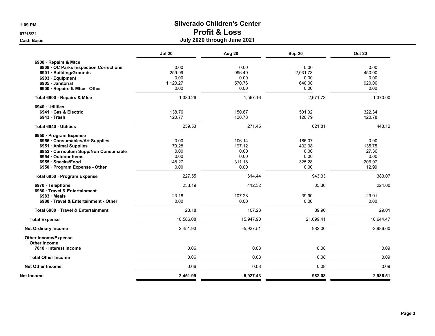| 6900 · Repairs & Mtce<br>0.00<br>0.00<br>0.00<br>6908 · OC Parks Inspection Corrections<br>259.99<br>996.40<br>2,031.73<br>6901 · Building/Grounds<br>0.00<br>0.00<br>0.00<br>6903 · Equipment<br>570.76<br>640.00<br>1,120.27<br>6905 Janitorial<br>6900 · Repairs & Mtce - Other<br>0.00<br>0.00<br>0.00<br>1,380.26<br>1,567.16<br>2,671.73<br>Total 6900 · Repairs & Mtce<br>6940 Utilities<br>150.67<br>138.76<br>501.02<br>6941 · Gas & Electric<br>$6943 \cdot$ Trash<br>120.77<br>120.78<br>120.79<br>259.53<br>271.45<br>621.81<br>Total 6940 · Utilities<br>6950 · Program Expense<br>106.14<br>6956 Consumables/Art Supplies<br>0.00<br>185.07<br>197.12<br>79.28<br>432.98<br>6951 · Animal Supplies<br>0.00<br>0.00<br>0.00<br>6952 · Curriculum Supp/Non Consumable<br>0.00<br>0.00<br>0.00<br>6954 · Outdoor Items<br>148.27<br>311.18<br>325.28<br>6955 · Snacks/Food<br>0.00<br>0.00<br>0.00<br>6950 · Program Expense - Other<br>227.55<br>614.44<br>943.33<br>Total 6950 · Program Expense<br>233.19<br>412.32<br>35.30<br>6970 · Telephone<br>6980 Travel & Entertainment<br>107.28<br>39.90<br>23.18<br>6983 Meals<br>6980 Travel & Entertainment - Other<br>0.00<br>0.00<br>0.00<br>23.18<br>107.28<br>39.90<br>Total 6980 Travel & Entertainment<br>10,586.08<br>21,099.41<br>15,947.90<br><b>Total Expense</b><br>2,451.93<br>982.00<br>$-5,927.51$<br><b>Net Ordinary Income</b><br><b>Other Income/Expense</b><br><b>Other Income</b><br>0.06<br>0.08<br>0.08<br>7010 · Interest Income<br><b>Total Other Income</b><br>0.06<br>0.08<br>0.08<br><b>Net Other Income</b> | <b>Jul 20</b> | Aug 20 | Sep 20 | <b>Oct 20</b> |
|---------------------------------------------------------------------------------------------------------------------------------------------------------------------------------------------------------------------------------------------------------------------------------------------------------------------------------------------------------------------------------------------------------------------------------------------------------------------------------------------------------------------------------------------------------------------------------------------------------------------------------------------------------------------------------------------------------------------------------------------------------------------------------------------------------------------------------------------------------------------------------------------------------------------------------------------------------------------------------------------------------------------------------------------------------------------------------------------------------------------------------------------------------------------------------------------------------------------------------------------------------------------------------------------------------------------------------------------------------------------------------------------------------------------------------------------------------------------------------------------------------------------------------------------------------------------------------------------------|---------------|--------|--------|---------------|
|                                                                                                                                                                                                                                                                                                                                                                                                                                                                                                                                                                                                                                                                                                                                                                                                                                                                                                                                                                                                                                                                                                                                                                                                                                                                                                                                                                                                                                                                                                                                                                                                   |               |        |        |               |
|                                                                                                                                                                                                                                                                                                                                                                                                                                                                                                                                                                                                                                                                                                                                                                                                                                                                                                                                                                                                                                                                                                                                                                                                                                                                                                                                                                                                                                                                                                                                                                                                   |               |        |        | 0.00          |
|                                                                                                                                                                                                                                                                                                                                                                                                                                                                                                                                                                                                                                                                                                                                                                                                                                                                                                                                                                                                                                                                                                                                                                                                                                                                                                                                                                                                                                                                                                                                                                                                   |               |        |        | 450.00        |
|                                                                                                                                                                                                                                                                                                                                                                                                                                                                                                                                                                                                                                                                                                                                                                                                                                                                                                                                                                                                                                                                                                                                                                                                                                                                                                                                                                                                                                                                                                                                                                                                   |               |        |        | 0.00          |
|                                                                                                                                                                                                                                                                                                                                                                                                                                                                                                                                                                                                                                                                                                                                                                                                                                                                                                                                                                                                                                                                                                                                                                                                                                                                                                                                                                                                                                                                                                                                                                                                   |               |        |        | 920.00        |
|                                                                                                                                                                                                                                                                                                                                                                                                                                                                                                                                                                                                                                                                                                                                                                                                                                                                                                                                                                                                                                                                                                                                                                                                                                                                                                                                                                                                                                                                                                                                                                                                   |               |        |        | 0.00          |
|                                                                                                                                                                                                                                                                                                                                                                                                                                                                                                                                                                                                                                                                                                                                                                                                                                                                                                                                                                                                                                                                                                                                                                                                                                                                                                                                                                                                                                                                                                                                                                                                   |               |        |        | 1,370.00      |
|                                                                                                                                                                                                                                                                                                                                                                                                                                                                                                                                                                                                                                                                                                                                                                                                                                                                                                                                                                                                                                                                                                                                                                                                                                                                                                                                                                                                                                                                                                                                                                                                   |               |        |        |               |
|                                                                                                                                                                                                                                                                                                                                                                                                                                                                                                                                                                                                                                                                                                                                                                                                                                                                                                                                                                                                                                                                                                                                                                                                                                                                                                                                                                                                                                                                                                                                                                                                   |               |        |        | 322.34        |
|                                                                                                                                                                                                                                                                                                                                                                                                                                                                                                                                                                                                                                                                                                                                                                                                                                                                                                                                                                                                                                                                                                                                                                                                                                                                                                                                                                                                                                                                                                                                                                                                   |               |        |        | 120.78        |
|                                                                                                                                                                                                                                                                                                                                                                                                                                                                                                                                                                                                                                                                                                                                                                                                                                                                                                                                                                                                                                                                                                                                                                                                                                                                                                                                                                                                                                                                                                                                                                                                   |               |        |        | 443.12        |
|                                                                                                                                                                                                                                                                                                                                                                                                                                                                                                                                                                                                                                                                                                                                                                                                                                                                                                                                                                                                                                                                                                                                                                                                                                                                                                                                                                                                                                                                                                                                                                                                   |               |        |        |               |
|                                                                                                                                                                                                                                                                                                                                                                                                                                                                                                                                                                                                                                                                                                                                                                                                                                                                                                                                                                                                                                                                                                                                                                                                                                                                                                                                                                                                                                                                                                                                                                                                   |               |        |        | 0.00          |
|                                                                                                                                                                                                                                                                                                                                                                                                                                                                                                                                                                                                                                                                                                                                                                                                                                                                                                                                                                                                                                                                                                                                                                                                                                                                                                                                                                                                                                                                                                                                                                                                   |               |        |        | 135.75        |
|                                                                                                                                                                                                                                                                                                                                                                                                                                                                                                                                                                                                                                                                                                                                                                                                                                                                                                                                                                                                                                                                                                                                                                                                                                                                                                                                                                                                                                                                                                                                                                                                   |               |        |        | 27.36         |
|                                                                                                                                                                                                                                                                                                                                                                                                                                                                                                                                                                                                                                                                                                                                                                                                                                                                                                                                                                                                                                                                                                                                                                                                                                                                                                                                                                                                                                                                                                                                                                                                   |               |        |        | 0.00          |
|                                                                                                                                                                                                                                                                                                                                                                                                                                                                                                                                                                                                                                                                                                                                                                                                                                                                                                                                                                                                                                                                                                                                                                                                                                                                                                                                                                                                                                                                                                                                                                                                   |               |        |        | 206.97        |
|                                                                                                                                                                                                                                                                                                                                                                                                                                                                                                                                                                                                                                                                                                                                                                                                                                                                                                                                                                                                                                                                                                                                                                                                                                                                                                                                                                                                                                                                                                                                                                                                   |               |        |        | 12.99         |
|                                                                                                                                                                                                                                                                                                                                                                                                                                                                                                                                                                                                                                                                                                                                                                                                                                                                                                                                                                                                                                                                                                                                                                                                                                                                                                                                                                                                                                                                                                                                                                                                   |               |        |        | 383.07        |
|                                                                                                                                                                                                                                                                                                                                                                                                                                                                                                                                                                                                                                                                                                                                                                                                                                                                                                                                                                                                                                                                                                                                                                                                                                                                                                                                                                                                                                                                                                                                                                                                   |               |        |        | 224.00        |
|                                                                                                                                                                                                                                                                                                                                                                                                                                                                                                                                                                                                                                                                                                                                                                                                                                                                                                                                                                                                                                                                                                                                                                                                                                                                                                                                                                                                                                                                                                                                                                                                   |               |        |        |               |
|                                                                                                                                                                                                                                                                                                                                                                                                                                                                                                                                                                                                                                                                                                                                                                                                                                                                                                                                                                                                                                                                                                                                                                                                                                                                                                                                                                                                                                                                                                                                                                                                   |               |        |        | 29.01         |
|                                                                                                                                                                                                                                                                                                                                                                                                                                                                                                                                                                                                                                                                                                                                                                                                                                                                                                                                                                                                                                                                                                                                                                                                                                                                                                                                                                                                                                                                                                                                                                                                   |               |        |        | 0.00          |
|                                                                                                                                                                                                                                                                                                                                                                                                                                                                                                                                                                                                                                                                                                                                                                                                                                                                                                                                                                                                                                                                                                                                                                                                                                                                                                                                                                                                                                                                                                                                                                                                   |               |        |        | 29.01         |
|                                                                                                                                                                                                                                                                                                                                                                                                                                                                                                                                                                                                                                                                                                                                                                                                                                                                                                                                                                                                                                                                                                                                                                                                                                                                                                                                                                                                                                                                                                                                                                                                   |               |        |        | 16,644.47     |
|                                                                                                                                                                                                                                                                                                                                                                                                                                                                                                                                                                                                                                                                                                                                                                                                                                                                                                                                                                                                                                                                                                                                                                                                                                                                                                                                                                                                                                                                                                                                                                                                   |               |        |        | $-2,986.60$   |
|                                                                                                                                                                                                                                                                                                                                                                                                                                                                                                                                                                                                                                                                                                                                                                                                                                                                                                                                                                                                                                                                                                                                                                                                                                                                                                                                                                                                                                                                                                                                                                                                   |               |        |        |               |
|                                                                                                                                                                                                                                                                                                                                                                                                                                                                                                                                                                                                                                                                                                                                                                                                                                                                                                                                                                                                                                                                                                                                                                                                                                                                                                                                                                                                                                                                                                                                                                                                   |               |        |        | 0.09          |
|                                                                                                                                                                                                                                                                                                                                                                                                                                                                                                                                                                                                                                                                                                                                                                                                                                                                                                                                                                                                                                                                                                                                                                                                                                                                                                                                                                                                                                                                                                                                                                                                   |               |        |        | 0.09          |
|                                                                                                                                                                                                                                                                                                                                                                                                                                                                                                                                                                                                                                                                                                                                                                                                                                                                                                                                                                                                                                                                                                                                                                                                                                                                                                                                                                                                                                                                                                                                                                                                   | 0.06          | 0.08   | 0.08   | 0.09          |
| 2,451.99<br>$-5,927.43$<br>982.08<br>Net Income                                                                                                                                                                                                                                                                                                                                                                                                                                                                                                                                                                                                                                                                                                                                                                                                                                                                                                                                                                                                                                                                                                                                                                                                                                                                                                                                                                                                                                                                                                                                                   |               |        |        | $-2,986.51$   |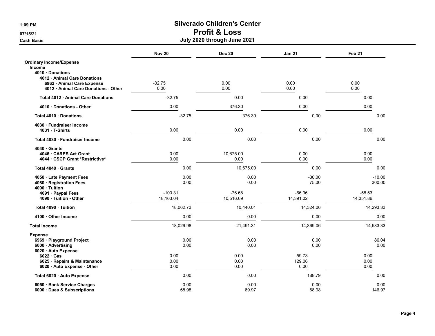# 1:09 PM Silverado Children's Center

## 07/15/21 **Profit & Loss**

|                                                             | <b>Nov 20</b> | <b>Dec 20</b> | <b>Jan 21</b>  | Feb <sub>21</sub> |
|-------------------------------------------------------------|---------------|---------------|----------------|-------------------|
| <b>Ordinary Income/Expense</b>                              |               |               |                |                   |
| <b>Income</b>                                               |               |               |                |                   |
| 4010 · Donations<br>4012 Animal Care Donations              |               |               |                |                   |
| 6962 · Animal Care Expense                                  | $-32.75$      | 0.00          | 0.00           | 0.00              |
| 4012 · Animal Care Donations - Other                        | 0.00          | 0.00          | 0.00           | 0.00              |
| Total 4012 Animal Care Donations                            | $-32.75$      | 0.00          | 0.00           | 0.00              |
|                                                             |               |               |                |                   |
| 4010 Donations - Other                                      | 0.00          | 376.30        | 0.00           | 0.00              |
| Total 4010 Donations                                        | $-32.75$      | 376.30        | 0.00           | 0.00              |
| 4030 Fundraiser Income                                      |               |               |                |                   |
| 4031 T-Shirts                                               | 0.00          | 0.00          | 0.00           | 0.00              |
| Total 4030 · Fundraiser Income                              | 0.00          | 0.00          | 0.00           | 0.00              |
| 4040 Grants                                                 |               |               |                |                   |
| 4046 CARES Act Grant                                        | 0.00          | 10,675.00     | 0.00           | 0.00              |
| 4044 · CSCP Grant *Restrictive*                             | 0.00          | 0.00          | 0.00           | 0.00              |
| Total 4040 Grants                                           | 0.00          | 10,675.00     | 0.00           | 0.00              |
| 4050 · Late Payment Fees                                    | 0.00          | 0.00          | $-30.00$       | $-10.00$          |
| 4080 · Registration Fees<br>4090 · Tuition                  | 0.00          | 0.00          | 75.00          | 300.00            |
| 4091 · Paypal Fees                                          | $-100.31$     | $-76.68$      | $-66.96$       | $-58.53$          |
| 4090 · Tuition - Other                                      | 18,163.04     | 10,516.69     | 14,391.02      | 14,351.86         |
| Total 4090 · Tuition                                        | 18,062.73     | 10,440.01     | 14,324.06      | 14,293.33         |
| 4100 Other Income                                           | 0.00          | 0.00          | 0.00           | 0.00              |
| <b>Total Income</b>                                         | 18,029.98     | 21,491.31     | 14,369.06      | 14,583.33         |
| <b>Expense</b>                                              |               |               |                |                   |
| 6969 · Playground Project                                   | 0.00          | 0.00          | 0.00           | 86.04             |
| 6000 Advertising                                            | 0.00          | 0.00          | 0.00           | 0.00              |
| 6020 · Auto Expense                                         |               |               |                |                   |
| $6022 \cdot Gas$                                            | 0.00          | 0.00          | 59.73          | 0.00              |
| 6025 · Repairs & Maintenance<br>6020 · Auto Expense - Other | 0.00<br>0.00  | 0.00<br>0.00  | 129.06<br>0.00 | 0.00<br>0.00      |
|                                                             |               |               |                |                   |
| Total 6020 · Auto Expense                                   | 0.00          | 0.00          | 188.79         | 0.00              |
| 6050 · Bank Service Charges                                 | 0.00          | 0.00          | 0.00           | 0.00              |
| 6090 · Dues & Subscriptions                                 | 68.98         | 69.97         | 68.98          | 146.97            |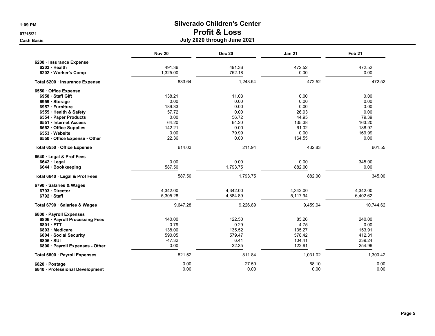|                                 | <b>Nov 20</b> | <b>Dec 20</b> | <b>Jan 21</b> | Feb 21    |
|---------------------------------|---------------|---------------|---------------|-----------|
| 6200 · Insurance Expense        |               |               |               |           |
| 6203 · Health                   | 491.36        | 491.36        | 472.52        | 472.52    |
| 6202 Worker's Comp              | $-1,325.00$   | 752.18        | 0.00          | 0.00      |
| Total 6200 · Insurance Expense  | $-833.64$     | 1,243.54      | 472.52        | 472.52    |
| 6550 Office Expense             |               |               |               |           |
| 6958 · Staff Gift               | 138.21        | 11.03         | 0.00          | 0.00      |
| 6959 Storage                    | 0.00          | 0.00          | 0.00          | 0.00      |
| 6957 · Furniture                | 189.33        | 0.00          | 0.00          | 0.00      |
| 6555 · Health & Safety          | 57.72         | 0.00          | 26.93         | 0.00      |
| 6554 · Paper Products           | 0.00          | 56.72         | 44.95         | 79.39     |
| 6551 Internet Access            | 64.20         | 64.20         | 135.38        | 163.20    |
| 6552 Office Supplies            | 142.21        | 0.00          | 61.02         | 188.97    |
| 6553 Website                    | 0.00          | 79.99         | 0.00          | 169.99    |
| 6550 · Office Expense - Other   | 22.36         | 0.00          | 164.55        | 0.00      |
| Total 6550 Office Expense       | 614.03        | 211.94        | 432.83        | 601.55    |
| 6640 Legal & Prof Fees          |               |               |               |           |
| $6642 \cdot$ Legal              | 0.00          | 0.00          | 0.00          | 345.00    |
| 6644 · Bookkeeping              | 587.50        | 1,793.75      | 882.00        | 0.00      |
| Total 6640 · Legal & Prof Fees  | 587.50        | 1,793.75      | 882.00        | 345.00    |
| 6790 · Salaries & Wages         |               |               |               |           |
| 6793 Director                   | 4,342.00      | 4,342.00      | 4,342.00      | 4,342.00  |
| $6792 \cdot$ Staff              | 5,305.28      | 4,884.89      | 5,117.94      | 6,402.62  |
| Total 6790 · Salaries & Wages   | 9,647.28      | 9,226.89      | 9,459.94      | 10,744.62 |
| 6800 · Payroll Expenses         |               |               |               |           |
| 6806 · Payroll Processing Fees  | 140.00        | 122.50        | 85.26         | 240.00    |
| $6801 \cdot ETT$                | 0.79          | 0.29          | 4.75          | 0.00      |
| 6803 Medicare                   | 138.00        | 135.52        | 135.27        | 153.91    |
| 6804 Social Security            | 590.05        | 579.47        | 578.42        | 412.31    |
| $6805 \cdot SUI$                | $-47.32$      | 6.41          | 104.41        | 239.24    |
| 6800 · Payroll Expenses - Other | 0.00          | $-32.35$      | 122.91        | 254.96    |
| Total 6800 · Payroll Expenses   | 821.52        | 811.84        | 1,031.02      | 1,300.42  |
| 6820 · Postage                  | 0.00          | 27.50         | 68.10         | 0.00      |
| 6840 · Professional Development | 0.00          | 0.00          | 0.00          | 0.00      |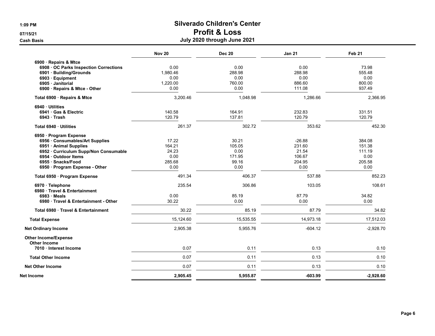|                                        | <b>Nov 20</b> | <b>Dec 20</b> | <b>Jan 21</b> | Feb <sub>21</sub> |
|----------------------------------------|---------------|---------------|---------------|-------------------|
| 6900 · Repairs & Mtce                  |               |               |               |                   |
| 6908 OC Parks Inspection Corrections   | 0.00          | 0.00          | 0.00          | 73.98             |
| 6901 · Building/Grounds                | 1,980.46      | 288.98        | 288.98        | 555.48            |
| 6903 · Equipment                       | 0.00          | 0.00          | 0.00          | 0.00              |
| 6905 Janitorial                        | 1,220.00      | 760.00        | 886.60        | 800.00            |
| 6900 · Repairs & Mtce - Other          | 0.00          | 0.00          | 111.08        | 937.49            |
| Total 6900 · Repairs & Mtce            | 3,200.46      | 1,048.98      | 1,286.66      | 2,366.95          |
| 6940 Utilities                         |               |               |               |                   |
| 6941 Gas & Electric                    | 140.58        | 164.91        | 232.83        | 331.51            |
| $6943 \cdot$ Trash                     | 120.79        | 137.81        | 120.79        | 120.79            |
| Total 6940 · Utilities                 | 261.37        | 302.72        | 353.62        | 452.30            |
| 6950 · Program Expense                 |               |               |               |                   |
| 6956 Consumables/Art Supplies          | 17.22         | 30.21         | $-26.88$      | 384.08            |
| 6951 · Animal Supplies                 | 164.21        | 105.05        | 231.60        | 151.38            |
| 6952 · Curriculum Supp/Non Consumable  | 24.23         | 0.00          | 21.54         | 111.19            |
| 6954 · Outdoor Items                   | 0.00          | 171.95        | 106.67        | 0.00              |
| 6955 · Snacks/Food                     | 285.68        | 99.16         | 204.95        | 205.58            |
| 6950 · Program Expense - Other         | 0.00          | 0.00          | 0.00          | 0.00              |
| Total 6950 · Program Expense           | 491.34        | 406.37        | 537.88        | 852.23            |
| 6970 · Telephone                       | 235.54        | 306.86        | 103.05        | 108.61            |
| 6980 Travel & Entertainment            |               |               |               |                   |
| 6983 Meals                             | 0.00          | 85.19         | 87.79         | 34.82             |
| 6980 Travel & Entertainment - Other    | 30.22         | 0.00          | 0.00          | 0.00              |
| Total 6980 Travel & Entertainment      | 30.22         | 85.19         | 87.79         | 34.82             |
| <b>Total Expense</b>                   | 15,124.60     | 15,535.55     | 14,973.18     | 17,512.03         |
| <b>Net Ordinary Income</b>             | 2,905.38      | 5,955.76      | $-604.12$     | $-2,928.70$       |
| <b>Other Income/Expense</b>            |               |               |               |                   |
| Other Income<br>7010 · Interest Income | 0.07          | 0.11          | 0.13          | 0.10              |
| <b>Total Other Income</b>              | 0.07          | 0.11          | 0.13          | 0.10              |
| <b>Net Other Income</b>                | 0.07          | 0.11          | 0.13          | 0.10              |
|                                        |               |               |               |                   |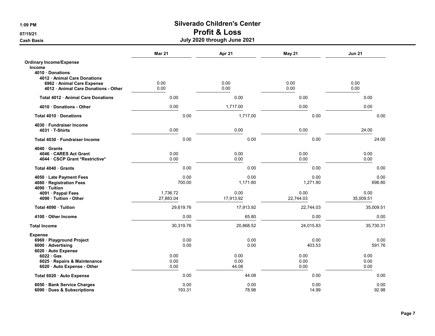# 1:09 PM Silverado Children's Center

### 07/15/21 **Profit & Loss**

Cash Basis July 2020 through June 2021

|                                            | <b>Mar 21</b> | Apr 21    | May 21    | <b>Jun 21</b> |
|--------------------------------------------|---------------|-----------|-----------|---------------|
| <b>Ordinary Income/Expense</b>             |               |           |           |               |
| Income                                     |               |           |           |               |
| 4010 Donations                             |               |           |           |               |
| 4012 Animal Care Donations                 |               |           |           |               |
| 6962 Animal Care Expense                   | 0.00          | 0.00      | 0.00      | 0.00          |
| 4012 Animal Care Donations - Other         | 0.00          | 0.00      | 0.00      | 0.00          |
| Total 4012 · Animal Care Donations         | 0.00          | 0.00      | 0.00      | 0.00          |
| 4010 Donations - Other                     | 0.00          | 1,717.00  | 0.00      | 0.00          |
| Total 4010 Donations                       | 0.00          | 1,717.00  | 0.00      | 0.00          |
| 4030 Fundraiser Income                     |               |           |           |               |
| 4031 T-Shirts                              | 0.00          | 0.00      | 0.00      | 24.00         |
| Total 4030 · Fundraiser Income             | 0.00          | 0.00      | 0.00      | 24.00         |
| 4040 Grants                                |               |           |           |               |
| 4046 CARES Act Grant                       | 0.00          | 0.00      | 0.00      | 0.00          |
| 4044 · CSCP Grant *Restrictive*            | 0.00          | 0.00      | 0.00      | 0.00          |
| Total 4040 Grants                          | 0.00          | 0.00      | 0.00      | 0.00          |
| 4050 · Late Payment Fees                   | 0.00          | 0.00      | 0.00      | 0.00          |
| 4080 · Registration Fees<br>4090 · Tuition | 700.00        | 1,171.80  | 1,271.80  | 696.80        |
| 4091 · Paypal Fees                         | 1,736.72      | 0.00      | 0.00      | 0.00          |
| 4090 Tuition - Other                       | 27,883.04     | 17,913.92 | 22,744.03 | 35,009.51     |
| Total 4090 Tuition                         | 29,619.76     | 17,913.92 | 22,744.03 | 35,009.51     |
| 4100 · Other Income                        | 0.00          | 65.80     | 0.00      | 0.00          |
| <b>Total Income</b>                        | 30,319.76     | 20,868.52 | 24,015.83 | 35,730.31     |
| <b>Expense</b>                             |               |           |           |               |
| 6969 · Playground Project                  | 0.00          | 0.00      | 0.00      | 0.00          |
| 6000 · Advertising                         | 0.00          | 0.00      | 403.53    | 591.76        |
| 6020 Auto Expense                          |               |           |           |               |
| $6022 \cdot Gas$                           | 0.00          | 0.00      | 0.00      | 0.00          |
| 6025 · Repairs & Maintenance               | 0.00          | 0.00      | 0.00      | 0.00          |
| 6020 · Auto Expense - Other                | 0.00          | 44.08     | 0.00      | 0.00          |
| Total 6020 · Auto Expense                  | 0.00          | 44.08     | 0.00      | 0.00          |
| 6050 · Bank Service Charges                | 0.00          | 0.00      | 0.00      | 0.00          |
| 6090 · Dues & Subscriptions                | 193.31        | 78.98     | 14.99     | 92.98         |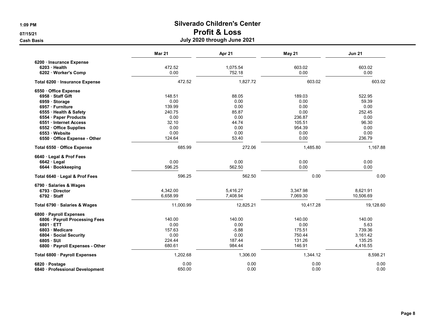|                                 | <b>Mar 21</b> | Apr 21    | <b>May 21</b> | <b>Jun 21</b> |
|---------------------------------|---------------|-----------|---------------|---------------|
| 6200 · Insurance Expense        |               |           |               |               |
| $6203$ Health                   | 472.52        | 1,075.54  | 603.02        | 603.02        |
| 6202 Worker's Comp              | 0.00          | 752.18    | 0.00          | 0.00          |
| Total 6200 · Insurance Expense  | 472.52        | 1,827.72  | 603.02        | 603.02        |
| 6550 Office Expense             |               |           |               |               |
| 6958 Staff Gift                 | 148.51        | 88.05     | 189.03        | 522.95        |
| 6959 Storage                    | 0.00          | 0.00      | 0.00          | 59.39         |
| 6957 · Furniture                | 139.99        | 0.00      | 0.00          | 0.00          |
| 6555 · Health & Safety          | 240.75        | 85.87     | 0.00          | 252.45        |
| 6554 · Paper Products           | 0.00          | 0.00      | 236.87        | 0.00          |
| 6551 Internet Access            | 32.10         | 44.74     | 105.51        | 96.30         |
| 6552 Office Supplies            | 0.00          | 0.00      | 954.39        | 0.00          |
| 6553 Website                    | 0.00          | 0.00      | 0.00          | 0.00          |
| 6550 Office Expense - Other     | 124.64        | 53.40     | 0.00          | 236.79        |
| Total 6550 Office Expense       | 685.99        | 272.06    | 1,485.80      | 1,167.88      |
| 6640 Legal & Prof Fees          |               |           |               |               |
| $6642 \cdot$ Legal              | 0.00          | 0.00      | 0.00          | 0.00          |
| 6644 · Bookkeeping              | 596.25        | 562.50    | 0.00          | 0.00          |
| Total 6640 · Legal & Prof Fees  | 596.25        | 562.50    | 0.00          | 0.00          |
| 6790 · Salaries & Wages         |               |           |               |               |
| 6793 Director                   | 4,342.00      | 5,416.27  | 3,347.98      | 8,621.91      |
| $6792 \cdot$ Staff              | 6,658.99      | 7,408.94  | 7,069.30      | 10,506.69     |
| Total 6790 · Salaries & Wages   | 11,000.99     | 12,825.21 | 10,417.28     | 19,128.60     |
| 6800 · Payroll Expenses         |               |           |               |               |
| 6806 · Payroll Processing Fees  | 140.00        | 140.00    | 140.00        | 140.00        |
| 6801 ETT                        | 0.00          | 0.00      | 0.00          | 5.63          |
| 6803 Medicare                   | 157.63        | $-5.88$   | 175.51        | 739.36        |
| 6804 Social Security            | 0.00          | 0.00      | 750.44        | 3,161.42      |
| 6805 · SUI                      | 224.44        | 187.44    | 131.26        | 135.25        |
| 6800 · Payroll Expenses - Other | 680.61        | 984.44    | 146.91        | 4,416.55      |
| Total 6800 · Payroll Expenses   | 1,202.68      | 1,306.00  | 1,344.12      | 8,598.21      |
| 6820 · Postage                  | 0.00          | 0.00      | 0.00          | 0.00          |
| 6840 · Professional Development | 650.00        | 0.00      | 0.00          | 0.00          |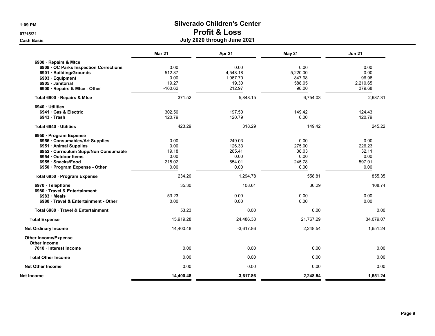|                                             | <b>Mar 21</b> | Apr 21      | May 21    | <b>Jun 21</b> |
|---------------------------------------------|---------------|-------------|-----------|---------------|
| 6900 · Repairs & Mtce                       |               |             |           |               |
| 6908 OC Parks Inspection Corrections        | 0.00          | 0.00        | 0.00      | 0.00          |
| 6901 · Building/Grounds                     | 512.87        | 4,548.18    | 5,220.00  | 0.00          |
| 6903 · Equipment                            | 0.00          | 1,067.70    | 847.98    | 96.98         |
| 6905 Janitorial                             | 19.27         | 19.30       | 588.05    | 2,210.65      |
| 6900 · Repairs & Mtce - Other               | $-160.62$     | 212.97      | 98.00     | 379.68        |
| Total 6900 · Repairs & Mtce                 | 371.52        | 5,848.15    | 6,754.03  | 2,687.31      |
| 6940 Utilities                              |               |             |           |               |
| 6941 Gas & Electric                         | 302.50        | 197.50      | 149.42    | 124.43        |
| $6943$ Trash                                | 120.79        | 120.79      | 0.00      | 120.79        |
| Total 6940 · Utilities                      | 423.29        | 318.29      | 149.42    | 245.22        |
| 6950 · Program Expense                      |               |             |           |               |
| 6956 Consumables/Art Supplies               | 0.00          | 249.03      | 0.00      | 0.00          |
| 6951 · Animal Supplies                      | 0.00          | 126.33      | 275.00    | 226.23        |
| 6952 · Curriculum Supp/Non Consumable       | 19.18         | 265.41      | 38.03     | 32.11         |
| 6954 Outdoor Items                          | 0.00          | 0.00        | 0.00      | 0.00          |
| 6955 · Snacks/Food                          | 215.02        | 654.01      | 245.78    | 597.01        |
| 6950 · Program Expense - Other              | 0.00          | 0.00        | 0.00      | 0.00          |
| Total 6950 · Program Expense                | 234.20        | 1,294.78    | 558.81    | 855.35        |
| 6970 · Telephone                            | 35.30         | 108.61      | 36.29     | 108.74        |
| 6980 · Travel & Entertainment               |               |             |           |               |
| $6983 \cdot Meals$                          | 53.23         | 0.00        | 0.00      | 0.00          |
| 6980 Travel & Entertainment - Other         | 0.00          | 0.00        | 0.00      | 0.00          |
| Total 6980 Travel & Entertainment           | 53.23         | 0.00        | 0.00      | 0.00          |
| <b>Total Expense</b>                        | 15,919.28     | 24,486.38   | 21,767.29 | 34,079.07     |
| <b>Net Ordinary Income</b>                  | 14,400.48     | $-3,617.86$ | 2,248.54  | 1,651.24      |
| <b>Other Income/Expense</b>                 |               |             |           |               |
| <b>Other Income</b><br>7010 Interest Income | 0.00          | 0.00        | 0.00      | 0.00          |
| <b>Total Other Income</b>                   | 0.00          | 0.00        | 0.00      | 0.00          |
| <b>Net Other Income</b>                     | 0.00          | 0.00        | 0.00      | 0.00          |
|                                             |               |             |           |               |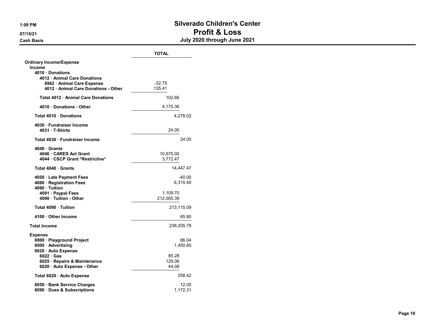#### 1:09 PM Silverado Children's Center 07/15/21 **Profit & Loss** Cash Basis July 2020 through June 2021

|                                                                  | <b>TOTAL</b>    |
|------------------------------------------------------------------|-----------------|
| <b>Ordinary Income/Expense</b><br>Income                         |                 |
| 4010 Donations                                                   |                 |
| 4012 Animal Care Donations                                       |                 |
| 6962 · Animal Care Expense<br>4012 Animal Care Donations - Other | $-32.75$        |
|                                                                  | 135.41          |
| Total 4012 Animal Care Donations                                 | 102.66          |
| 4010 Donations - Other                                           | 4,175.36        |
| Total 4010 Donations                                             | 4,278.02        |
| 4030 · Fundraiser Income<br>4031 T-Shirts                        | 24.00           |
| Total 4030 · Fundraiser Income                                   | 24.00           |
| 4040 Grants                                                      |                 |
| 4046 CARES Act Grant                                             | 10,675.00       |
| 4044 · CSCP Grant *Restrictive*                                  | 3,772.47        |
| Total 4040 Grants                                                | 14,447.47       |
| 4050 · Late Payment Fees                                         | -40.00          |
| 4080 · Registration Fees                                         | 6,315.40        |
| 4090 Tuition                                                     |                 |
| 4091 · Paypal Fees                                               | 1,109.70        |
| 4090 · Tuition - Other                                           | 212,005.39      |
| Total 4090 Tuition                                               | 213,115.09      |
| 4100 Other Income                                                | 65.80           |
| <b>Total Income</b>                                              | 238,205.78      |
| <b>Expense</b>                                                   |                 |
| 6969 · Playground Project                                        | 86.04           |
| 6000 · Advertising                                               | 1,450.85        |
| 6020 Auto Expense                                                |                 |
| $6022 \cdot Gas$                                                 | 85.28<br>129.06 |
| 6025 · Repairs & Maintenance                                     | 44.08           |
| 6020 · Auto Expense - Other                                      |                 |
| Total 6020 · Auto Expense                                        | 258.42          |
| 6050 · Bank Service Charges                                      | 12.00           |
| 6090 Dues & Subscriptions                                        | 1,172.31        |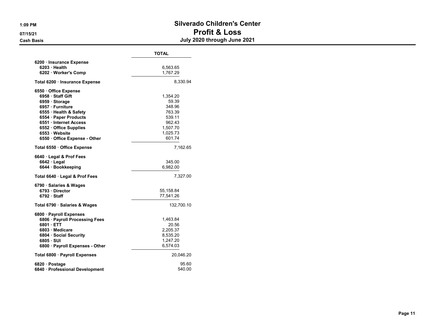#### 1:09 PM Silverado Children's Center 07/15/21 **Profit & Loss** Cash Basis July 2020 through June 2021

|                                 | <b>TOTAL</b> |  |  |  |
|---------------------------------|--------------|--|--|--|
| 6200 · Insurance Expense        |              |  |  |  |
| 6203 Health                     | 6,563.65     |  |  |  |
| 6202 · Worker's Comp            | 1,767.29     |  |  |  |
| Total 6200 · Insurance Expense  | 8,330.94     |  |  |  |
| 6550 Office Expense             |              |  |  |  |
| 6958 Staff Gift                 | 1,354.20     |  |  |  |
| 6959 · Storage                  | 59.39        |  |  |  |
| 6957 · Furniture                | 348.96       |  |  |  |
| 6555 · Health & Safety          | 763.39       |  |  |  |
| 6554 · Paper Products           | 539.11       |  |  |  |
| 6551 Internet Access            | 962.43       |  |  |  |
| 6552 Office Supplies            | 1,507.70     |  |  |  |
| 6553 · Website                  | 1,025.73     |  |  |  |
| 6550 Office Expense - Other     | 601.74       |  |  |  |
| Total 6550 · Office Expense     | 7,162.65     |  |  |  |
| 6640 Legal & Prof Fees          |              |  |  |  |
| $6642 \cdot$ Legal              | 345.00       |  |  |  |
| 6644 Bookkeeping                | 6,982.00     |  |  |  |
| Total 6640 · Legal & Prof Fees  | 7,327.00     |  |  |  |
| 6790 · Salaries & Wages         |              |  |  |  |
| 6793 Director                   | 55, 158.84   |  |  |  |
| 6792 Staff                      | 77,541.26    |  |  |  |
| Total 6790 · Salaries & Wages   | 132,700.10   |  |  |  |
| 6800 · Payroll Expenses         |              |  |  |  |
| 6806 · Payroll Processing Fees  | 1,463.84     |  |  |  |
| 6801 ETT                        | 20.56        |  |  |  |
| 6803 Medicare                   | 2,205.37     |  |  |  |
| 6804 Social Security            | 8,535.20     |  |  |  |
| 6805 · SUI                      | 1,247.20     |  |  |  |
| 6800 · Payroll Expenses - Other | 6,574.03     |  |  |  |
| Total 6800 · Payroll Expenses   | 20,046.20    |  |  |  |
| 6820 · Postage                  | 95.60        |  |  |  |
| 6840 · Professional Development | 540.00       |  |  |  |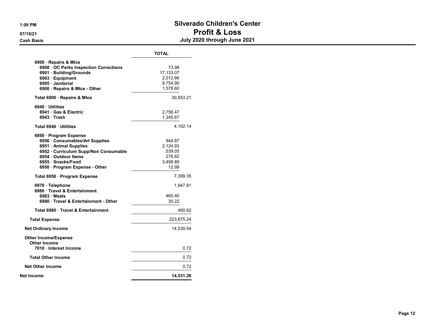#### 1:09 PM Silverado Children's Center 07/15/21 **Profit & Loss** Cash Basis July 2020 through June 2021

| <b>TOTAL</b>                                                |
|-------------------------------------------------------------|
| 73.98<br>17,133.07<br>2,012.66<br>9,754.90<br>1,578.60      |
| 30,553.21                                                   |
| 2,756.47<br>1.345.67                                        |
| 4,102.14                                                    |
| 944.87<br>2,124.93<br>539.05<br>278.62<br>3.498.89<br>12.99 |
| 7,399.35                                                    |
| 1,947.81<br>460.40<br>30.22                                 |
| 490.62                                                      |
| 223,675.24                                                  |
| 14,530.54                                                   |
| 0.72                                                        |
| 0.72                                                        |
| 0.72                                                        |
| 14,531.26                                                   |
|                                                             |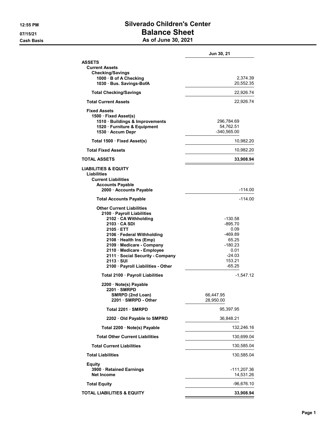#### 12:55 PM Silverado Children's Center 07/15/21 **Balance Sheet** Cash Basis **As of June 30, 2021**

|                                                                                                                                                                                                                                                                                                                            | Jun 30, 21                                                                                        |
|----------------------------------------------------------------------------------------------------------------------------------------------------------------------------------------------------------------------------------------------------------------------------------------------------------------------------|---------------------------------------------------------------------------------------------------|
| <b>ASSETS</b><br><b>Current Assets</b><br>Checking/Savings<br>1000 · B of A Checking<br>1030 Bus. Savings-BofA                                                                                                                                                                                                             | 2,374.39<br>20,552.35                                                                             |
| <b>Total Checking/Savings</b>                                                                                                                                                                                                                                                                                              | 22,926.74                                                                                         |
| <b>Total Current Assets</b>                                                                                                                                                                                                                                                                                                | 22,926.74                                                                                         |
| <b>Fixed Assets</b><br>1500 · Fixed Asset(s)<br>1510 · Buildings & Improvements<br>1520 · Furniture & Equipment<br>1530 · Accum Depr                                                                                                                                                                                       | 296,784.69<br>54,762.51<br>$-340,565.00$                                                          |
| Total 1500 · Fixed Asset(s)                                                                                                                                                                                                                                                                                                | 10,982.20                                                                                         |
| <b>Total Fixed Assets</b>                                                                                                                                                                                                                                                                                                  | 10,982.20                                                                                         |
| <b>TOTAL ASSETS</b>                                                                                                                                                                                                                                                                                                        | 33,908.94                                                                                         |
| <b>LIABILITIES &amp; EQUITY</b><br>Liabilities<br><b>Current Liabilities</b><br><b>Accounts Payable</b><br>2000 · Accounts Payable                                                                                                                                                                                         | -114.00                                                                                           |
| <b>Total Accounts Payable</b>                                                                                                                                                                                                                                                                                              | $-114.00$                                                                                         |
| <b>Other Current Liabilities</b><br>2100 · Payroll Liabilities<br>2102 · CA Withholding<br>2103 CA SDI<br>2105 ETT<br>2106 · Federal Withholding<br>2108 · Health Ins (Emp)<br>2109 Medicare - Company<br>2110 · Medicare - Employee<br>2111 · Social Security - Company<br>2113 SUI<br>2100 · Payroll Liabilities - Other | -130.58<br>-895.70<br>0.09<br>-469.89<br>65.25<br>-180.23<br>0.01<br>-24.03<br>153.21<br>$-65.25$ |
| Total 2100 · Payroll Liabilities                                                                                                                                                                                                                                                                                           | $-1,547.12$                                                                                       |
| 2200 · Note(s) Payable<br>$2201 \cdot$ SMRPD<br>SMRPD (2nd Loan)<br>2201 SMRPD - Other                                                                                                                                                                                                                                     | 66,447.95<br>28,950.00                                                                            |
| Total 2201 · SMRPD                                                                                                                                                                                                                                                                                                         | 95,397.95                                                                                         |
| 2202 Old Payable to SMPRD                                                                                                                                                                                                                                                                                                  | 36,848.21                                                                                         |
| Total 2200 · Note(s) Payable                                                                                                                                                                                                                                                                                               | 132,246.16                                                                                        |
| <b>Total Other Current Liabilities</b>                                                                                                                                                                                                                                                                                     | 130,699.04                                                                                        |
| <b>Total Current Liabilities</b>                                                                                                                                                                                                                                                                                           | 130,585.04                                                                                        |
| <b>Total Liabilities</b>                                                                                                                                                                                                                                                                                                   | 130,585.04                                                                                        |
| Equity<br>3900 · Retained Earnings<br><b>Net Income</b>                                                                                                                                                                                                                                                                    | -111,207.36<br>14,531.26                                                                          |
| <b>Total Equity</b>                                                                                                                                                                                                                                                                                                        | $-96,676.10$                                                                                      |
| <b>TOTAL LIABILITIES &amp; EQUITY</b>                                                                                                                                                                                                                                                                                      | 33,908.94                                                                                         |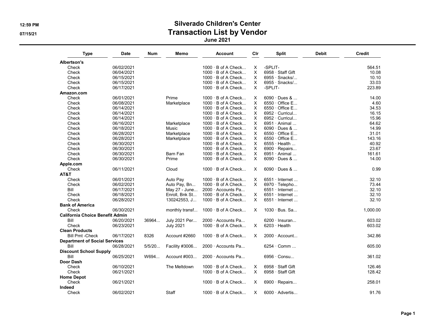### 12:59 PM Silverado Children's Center 07/15/21 CONSERVENTING CONTROLLER CONTROLLER TRANSACTION LIST by Vendor

June 2021

| <b>Type</b>                            | <b>Date</b> | <b>Num</b> | Memo             | <b>Account</b>            | Cir      | <b>Split</b>          | Debit | <b>Credit</b> |
|----------------------------------------|-------------|------------|------------------|---------------------------|----------|-----------------------|-------|---------------|
| Albertson's                            |             |            |                  |                           |          |                       |       |               |
| Check                                  | 06/02/2021  |            |                  | $1000 \cdot B$ of A Check | Χ        | -SPLIT-               |       | 564.51        |
| Check                                  | 06/04/2021  |            |                  | $1000 \cdot B$ of A Check | X        | 6958 · Staff Gift     |       | 10.08         |
| Check                                  | 06/15/2021  |            |                  | $1000 \cdot B$ of A Check | X        | $6955 \cdot$ Snacks/  |       | 10.10         |
| Check                                  | 06/15/2021  |            |                  | $1000 \cdot B$ of A Check | $\times$ | $6955 \cdot$ Snacks/  |       | 33.03         |
| Check                                  | 06/17/2021  |            |                  | $1000 \cdot B$ of A Check | X.       | -SPLIT-               |       | 223.89        |
| Amazon.com                             |             |            |                  |                           |          |                       |       |               |
| Check                                  | 06/01/2021  |            | Prime            | $1000 \cdot B$ of A Check | X        | 6090 · Dues &         |       | 14.00         |
| Check                                  | 06/08/2021  |            | Marketplace      | $1000 \cdot B$ of A Check | X        | 6550 · Office E       |       | 4.60          |
| Check                                  | 06/14/2021  |            |                  | $1000 \cdot B$ of A Check | X        | $6550 \cdot$ Office E |       | 34.53         |
| Check                                  | 06/14/2021  |            |                  | $1000 \cdot B$ of A Check | $\times$ | 6952 · Curricul       |       | 16.15         |
| Check                                  | 06/14/2021  |            |                  | $1000 \cdot B$ of A Check | X.       | $6952 \cdot$ Curricul |       | 15.96         |
| Check                                  | 06/16/2021  |            | Marketplace      | $1000 \cdot B$ of A Check | X        | $6951 \cdot$ Animal   |       | 64.62         |
| Check                                  | 06/18/2021  |            | Music            | $1000 \cdot B$ of A Check | X.       | $6090 \cdot$ Dues &   |       | 14.99         |
| Check                                  | 06/28/2021  |            | Marketplace      | $1000 \cdot B$ of A Check | X        | 6550 · Office E       |       | 31.01         |
| Check                                  | 06/28/2021  |            | Marketplace      | 1000 · B of A Check       | $\times$ | $6550 \cdot$ Office E |       | 143.16        |
| Check                                  | 06/30/2021  |            |                  | 1000 · B of A Check       | Χ        | $6555 \cdot$ Health   |       | 40.92         |
| Check                                  | 06/30/2021  |            |                  | 1000 · B of A Check       | $\times$ | 6900 · Repairs        |       | 23.67         |
| Check                                  | 06/30/2021  |            | Barn Fan         | $1000 \cdot B$ of A Check | X        | $6951 \cdot$ Animal   |       | 161.61        |
| Check                                  | 06/30/2021  |            | Prime            | $1000 \cdot B$ of A Check | $\times$ | $6090 \cdot$ Dues &   |       | 14.00         |
| Apple.com                              |             |            |                  |                           |          |                       |       |               |
| Check                                  | 06/11/2021  |            | Cloud            | $1000 \cdot B$ of A Check | X        | $6090 \cdot$ Dues &   |       | 0.99          |
| AT&T                                   |             |            |                  |                           |          |                       |       |               |
| Check                                  | 06/01/2021  |            | Auto Pay         | $1000 \cdot B$ of A Check | X        | $6551 \cdot$ Internet |       | 32.10         |
| Check                                  | 06/02/2021  |            | Auto Pay, Bn     | 1000 · B of A Check       | X.       | 6970 $\cdot$ Telepho  |       | 73.44         |
| Bill                                   | 06/17/2021  |            | May 27 - June    | 2000 · Accounts Pa        |          | $6551 \cdot$ Internet |       | 32.10         |
| Check                                  | 06/18/2021  |            | Enroll, Bnk St   | $1000 \cdot B$ of A Check | X.       | $6551 \cdot$ Internet |       | 32.10         |
| Check                                  | 06/28/2021  |            | 130242553, J     | $1000 \cdot B$ of A Check | $\times$ | $6551 \cdot$ Internet |       | 32.10         |
| <b>Bank of America</b>                 |             |            |                  |                           |          |                       |       |               |
| Check                                  | 06/30/2021  |            | monthly transf   | $1000 \cdot B$ of A Check | X        | $1030 \cdot$ Bus. Sa  |       | 1,000.00      |
| <b>California Choice Benefit Admin</b> |             |            |                  |                           |          |                       |       |               |
| Bill                                   |             | 36964      |                  | 2000 · Accounts Pa        |          | $6200 \cdot$ Insuran  |       | 603.02        |
|                                        | 06/20/2021  |            | July 2021 Per    | $1000 \cdot B$ of A Check | $\times$ | $6203 \cdot$ Health   |       |               |
| Check                                  | 06/23/2021  |            | <b>July 2021</b> |                           |          |                       |       | 603.02        |
| <b>Clean Products</b>                  |             |            |                  |                           |          |                       |       |               |
| <b>Bill Pmt -Check</b>                 | 06/17/2021  | 8326       | Account #2660    | $1000 \cdot B$ of A Check | X        | $2000 \cdot$ Account  |       | 342.86        |
| <b>Department of Social Services</b>   |             |            |                  |                           |          |                       |       |               |
| Bill                                   | 06/28/2021  | 5/5/20     | Facility #3006   | 2000 Accounts Pa          |          | $6254 \cdot$ Comm     |       | 605.00        |
| <b>Discount School Supply</b>          |             |            |                  |                           |          |                       |       |               |
| Bill                                   | 06/25/2021  | W694       | Account #003     | 2000 · Accounts Pa        |          | 6956 · Consu          |       | 361.02        |
| Door Dash                              |             |            |                  |                           |          |                       |       |               |
| Check                                  | 06/10/2021  |            | The Meltdown     | $1000 \cdot B$ of A Check | X        | 6958 · Staff Gift     |       | 126.46        |
| Check                                  | 06/21/2021  |            |                  | 1000 · B of A Check       | $\times$ | 6958 · Staff Gift     |       | 128.42        |
| <b>Home Depot</b>                      |             |            |                  |                           |          |                       |       |               |
| Check                                  | 06/21/2021  |            |                  | $1000 \cdot B$ of A Check | X        | 6900 · Repairs        |       | 258.01        |
| Indeed                                 |             |            |                  |                           |          |                       |       |               |
| Check                                  | 06/02/2021  |            | Staff            | $1000 \cdot B$ of A Check | X        | $6000 \cdot$ Advertis |       | 91.76         |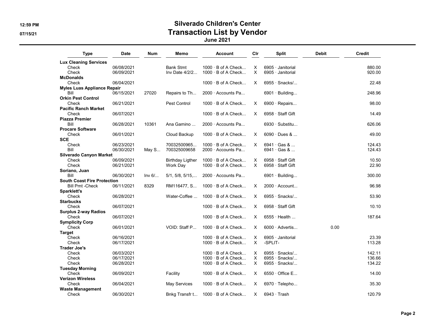### 12:59 PM Silverado Children's Center 07/15/21 CONSERVENTING CONTROLLER CONTROLLER TRANSACTION LIST by Vendor

June 2021

| <b>Type</b>                        | <b>Date</b> | Num    | Memo                     | <b>Account</b>            | Clr      | <b>Split</b>            | Debit | Credit |
|------------------------------------|-------------|--------|--------------------------|---------------------------|----------|-------------------------|-------|--------|
| <b>Lux Cleaning Services</b>       |             |        |                          |                           |          |                         |       |        |
| Check                              | 06/08/2021  |        | <b>Bank Stmt</b>         | $1000 \cdot B$ of A Check | Х        | $6905 \cdot$ Janitorial |       | 880.00 |
| Check                              | 06/09/2021  |        | Inv Date 4/2/2           | $1000 \cdot B$ of A Check | $\times$ | 6905 · Janitorial       |       | 920.00 |
| <b>McDonalds</b>                   |             |        |                          |                           |          |                         |       |        |
| Check                              | 06/04/2021  |        |                          | $1000 \cdot B$ of A Check | $\times$ | $6955 \cdot$ Snacks/    |       | 22.48  |
| <b>Myles Luas Appliance Repair</b> |             |        |                          |                           |          |                         |       |        |
| Bill                               | 06/15/2021  | 27020  | Repairs to Th            | 2000 Accounts Pa          |          | $6901 \cdot$ Building   |       | 248.96 |
| <b>Orkin Pest Control</b>          |             |        |                          |                           |          |                         |       |        |
| Check                              | 06/21/2021  |        | Pest Control             | $1000 \cdot B$ of A Check | X        | $6900 \cdot$ Repairs    |       | 98.00  |
| <b>Pacific Ranch Market</b>        |             |        |                          |                           |          |                         |       |        |
| Check                              | 06/07/2021  |        |                          | $1000 \cdot B$ of A Check | X        | $6958 \cdot$ Staff Gift |       | 14.49  |
| <b>Piazza Premier</b>              |             |        |                          |                           |          |                         |       |        |
| Bill                               | 06/28/2021  | 10361  | Ana Gamino               | 2000 · Accounts Pa        |          | $6930 \cdot$ Substitu   |       | 626.06 |
| <b>Procare Software</b>            |             |        |                          |                           |          |                         |       |        |
| Check                              | 06/01/2021  |        | Cloud Backup             | 1000 · B of A Check       | X        | $6090 \cdot$ Dues &     |       | 49.00  |
|                                    |             |        |                          |                           |          |                         |       |        |
| <b>SCE</b>                         |             |        |                          |                           |          |                         |       |        |
| Check                              | 06/23/2021  |        | 70032500965              | $1000 \cdot B$ of A Check | X        | $6941 \cdot$ Gas &      |       | 124.43 |
| Bill                               | 06/30/2021  | May S  | 700325009658             | $2000 \cdot$ Accounts Pa  |          | 6941 · Gas &            |       | 124.43 |
| <b>Silverado Canyon Market</b>     |             |        |                          |                           |          |                         |       |        |
| Check                              | 06/09/2021  |        | <b>Birthday Ligther</b>  | $1000 \cdot B$ of A Check | х        | 6958 · Staff Gift       |       | 10.50  |
| Check                              | 06/21/2021  |        | Work Day                 | $1000 \cdot B$ of A Check | $\times$ | 6958 · Staff Gift       |       | 22.90  |
| Soriano, Juan                      |             |        |                          |                           |          |                         |       |        |
| Bill                               | 06/30/2021  | Inv 6/ | $5/1, 5/8, 5/15, \ldots$ | 2000 Accounts Pa          |          | $6901 \cdot$ Building   |       | 300.00 |
| <b>South Coast Fire Protection</b> |             |        |                          |                           |          |                         |       |        |
| <b>Bill Pmt -Check</b>             | 06/11/2021  | 8329   | RM116477, S              | $1000 \cdot B$ of A Check | X        | $2000 \cdot$ Account    |       | 96.98  |
| Sparklett's                        |             |        |                          |                           |          |                         |       |        |
| Check                              | 06/28/2021  |        | Water-Coffee             | $1000 \cdot B$ of A Check | X        | $6955 \cdot$ Snacks/    |       | 53.90  |
| <b>Starbucks</b>                   |             |        |                          |                           |          |                         |       |        |
| Check                              | 06/07/2021  |        |                          | 1000 · B of A Check       | X        | 6958 · Staff Gift       |       | 10.10  |
| <b>Surplus 2-way Radios</b>        |             |        |                          |                           |          |                         |       |        |
| Check                              | 06/07/2021  |        |                          | $1000 \cdot B$ of A Check | X        | $6555 \cdot$ Health     |       | 187.64 |
| <b>Symplicity Corp</b>             |             |        |                          |                           |          |                         |       |        |
| Check                              | 06/01/2021  |        | VOID: Staff P            | $1000 \cdot B$ of A Check | X        | $6000 \cdot$ Advertis   | 0.00  |        |
| <b>Target</b>                      |             |        |                          |                           |          |                         |       |        |
| Check                              | 06/16/2021  |        |                          | $1000 \cdot B$ of A Check | X        | 6905 · Janitorial       |       | 23.39  |
| Check                              | 06/17/2021  |        |                          | $1000 \cdot B$ of A Check | $\times$ | -SPLIT-                 |       | 113.28 |
|                                    |             |        |                          |                           |          |                         |       |        |
| <b>Trader Joe's</b>                |             |        |                          |                           |          |                         |       |        |
| Check                              | 06/03/2021  |        |                          | $1000 \cdot B$ of A Check | X        | $6955 \cdot$ Snacks/    |       | 142.11 |
| Check                              | 06/17/2021  |        |                          | $1000 \cdot B$ of A Check | X        | $6955 \cdot$ Snacks/    |       | 136.66 |
| Check                              | 06/28/2021  |        |                          | $1000 \cdot B$ of A Check | X        | $6955 \cdot$ Snacks/    |       | 134.22 |
| <b>Tuesday Morning</b>             |             |        |                          |                           |          |                         |       |        |
| Check                              | 06/09/2021  |        | Facility                 | $1000 \cdot B$ of A Check | X        | $6550 \cdot$ Office E   |       | 14.00  |
| <b>Verizon Wireless</b>            |             |        |                          |                           |          |                         |       |        |
| Check                              | 06/04/2021  |        | May Services             | $1000 \cdot B$ of A Check | X        | 6970 · Telepho          |       | 35.30  |
| <b>Waste Management</b>            |             |        |                          |                           |          |                         |       |        |
| Check                              | 06/30/2021  |        | Bnkg Transfr t           | $1000 \cdot B$ of A Check | X        | $6943 \cdot$ Trash      |       | 120.79 |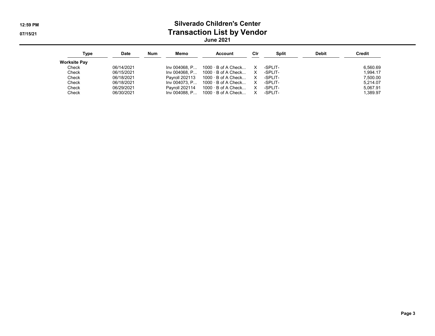#### 12:59 PM Silverado Children's Center 07/15/21 CONSERVENTING CONTROLLER CONTROLLER TRANSACTION LIST by Vendor June 2021

| Type         | Date       | <b>Num</b> | Memo           | Account                                        | Clr | Split   | <b>Debit</b> | <b>Credit</b> |
|--------------|------------|------------|----------------|------------------------------------------------|-----|---------|--------------|---------------|
| Worksite Pav |            |            |                |                                                |     |         |              |               |
| Check        | 06/14/2021 |            |                | $Inv 004068. P 1000 \cdot B$ of A Check X      |     | -SPLIT- |              | 6.560.69      |
| Check        | 06/15/2021 |            |                | $Inv 004068. P 1000 \cdot B$ of A Check X      |     | -SPLIT- |              | 1.994.17      |
| Check        | 06/18/2021 |            |                | Payroll 202113 $1000 \cdot B$ of A Check X     |     | -SPLIT- |              | 7.500.00      |
| Check        | 06/18/2021 |            |                | $Inv 004073$ . P $1000 \cdot B$ of A Check X   |     | -SPLIT- |              | 5.214.07      |
| Check        | 06/29/2021 |            | Pavroll 202114 | 1000 · B of A Check  X                         |     | -SPLIT- |              | 5.067.91      |
| Check        | 06/30/2021 |            |                | $Inv 004088. P 1000 · B of A Check X - SPLIT-$ |     |         |              | 1.389.97      |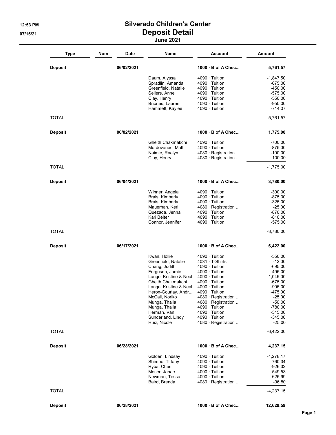#### 12:53 PM **Silverado Children's Center** 07/15/21 Deposit Detail June 2021

| <b>Type</b>    | <b>Num</b><br><b>Date</b> | Name                                          | <b>Account</b>                               | <b>Amount</b>          |
|----------------|---------------------------|-----------------------------------------------|----------------------------------------------|------------------------|
| <b>Deposit</b> | 06/02/2021                |                                               | $1000 \cdot B$ of A Chec                     | 5,761.57               |
|                |                           | Daum, Alyssa                                  | $4090 \cdot$ Tuition                         | -1,847.50              |
|                |                           | Spradlin, Amanda                              | $4090 \cdot$ Tuition                         | -675.00                |
|                |                           | Greenfield, Natalie<br>Sellers, Anne          | $4090 \cdot$ Tuition<br>$4090 \cdot$ Tuition | $-450.00$<br>$-575.00$ |
|                |                           | Clay, Henry                                   | $4090 \cdot$ Tuition                         | $-550.00$              |
|                |                           | Briones, Lauren                               | $4090 \cdot$ Tuition                         | $-950.00$              |
|                |                           | Hammett, Kaylee                               | $4090 \cdot$ Tuition                         | $-714.07$              |
| <b>TOTAL</b>   |                           |                                               |                                              | -5,761.57              |
| <b>Deposit</b> | 06/02/2021                |                                               | $1000 \cdot B$ of A Chec                     | 1,775.00               |
|                |                           | Gheith Chakmakchi                             | $4090 \cdot$ Tuition                         | -700.00                |
|                |                           | Mordovanec, Matt                              | $4090 \cdot$ Tuition                         | -875.00                |
|                |                           | Naimie, Raelyn                                | 4080 · Registration                          | $-100.00$              |
|                |                           | Clay, Henry                                   | $4080 \cdot$ Registration                    | $-100.00$              |
| <b>TOTAL</b>   |                           |                                               |                                              | $-1,775.00$            |
| <b>Deposit</b> | 06/04/2021                |                                               | $1000 \cdot B$ of A Chec                     | 3,780.00               |
|                |                           | Winner, Angela                                | $4090 \cdot$ Tuition                         | $-300.00$              |
|                |                           | Brais, Kimberly                               | $4090 \cdot$ Tuition                         | $-875.00$              |
|                |                           | Brais, Kimberly                               | $4090 \cdot$ Tuition                         | $-325.00$              |
|                |                           | Mauerhan, Keri                                | 4080 · Registration                          | $-25.00$               |
|                |                           | Quezada, Jenna<br>Kari Beiter                 | $4090 \cdot$ Tuition<br>4090 · Tuition       | $-870.00$<br>$-810.00$ |
|                |                           | Connor, Jennifer                              | $4090 \cdot$ Tuition                         | $-575.00$              |
| <b>TOTAL</b>   |                           |                                               |                                              | $-3,780.00$            |
|                |                           |                                               |                                              |                        |
| <b>Deposit</b> | 06/17/2021                |                                               | $1000 \cdot B$ of A Chec                     | 6,422.00               |
|                |                           | Kwan, Hollie                                  | $4090 \cdot$ Tuition                         | $-550.00$              |
|                |                           | Greenfield, Natalie                           | $4031 \cdot T$ -Shirts                       | $-12.00$               |
|                |                           | Chang, Judith                                 | $4090 \cdot$ Tuition                         | $-695.00$              |
|                |                           | Ferguson, Jamie                               | $4090 \cdot$ Tuition                         | $-495.00$              |
|                |                           | Lange, Kristine & Neal                        | $4090 \cdot$ Tuition                         | $-1,045.00$            |
|                |                           | Gheith Chakmakchi                             | $4090 \cdot$ Tuition<br>$4090 \cdot$ Tuition | $-675.00$<br>$-905.00$ |
|                |                           | Lange, Kristine & Neal<br>Heron-Gourlay, Andr | 4090 · Tuition                               | -475.00                |
|                |                           | McCall, Noriko                                | 4080 · Registration                          | $-25.00$               |
|                |                           | Munga, Thalia                                 | $4080 \cdot$ Registration                    | $-50.00$               |
|                |                           | Munga, Thalia                                 | $4090 \cdot$ Tuition                         | -780.00                |
|                |                           | Herman, Van                                   | $4090 \cdot$ Tuition                         | $-345.00$              |
|                |                           | Sunderland, Lindy                             | $4090 \cdot$ Tuition                         | $-345.00$              |
|                |                           | Ruiz, Nicole                                  | 4080 · Registration                          | $-25.00$               |
| <b>TOTAL</b>   |                           |                                               |                                              | $-6,422.00$            |
| <b>Deposit</b> | 06/28/2021                |                                               | $1000 \cdot B$ of A Chec                     | 4,237.15               |
|                |                           | Golden, Lindsay                               | $4090 \cdot$ Tuition                         | $-1,278.17$            |
|                |                           | Shimbo, Tiffany                               | $4090 \cdot$ Tuition                         | $-760.34$              |
|                |                           | Ryba, Cheri                                   | $4090 \cdot$ Tuition                         | -926.32                |
|                |                           | Moser, Janae                                  | $4090 \cdot$ Tuition                         | -549.53                |
|                |                           | Newman, Tessa<br>Baird, Brenda                | $4090 \cdot$ Tuition<br>4080 · Registration  | -625.99<br>$-96.80$    |
| TOTAL          |                           |                                               |                                              | $-4,237.15$            |
| <b>Deposit</b> | 06/28/2021                |                                               | 1000 · B of A Chec                           | 12,629.59              |